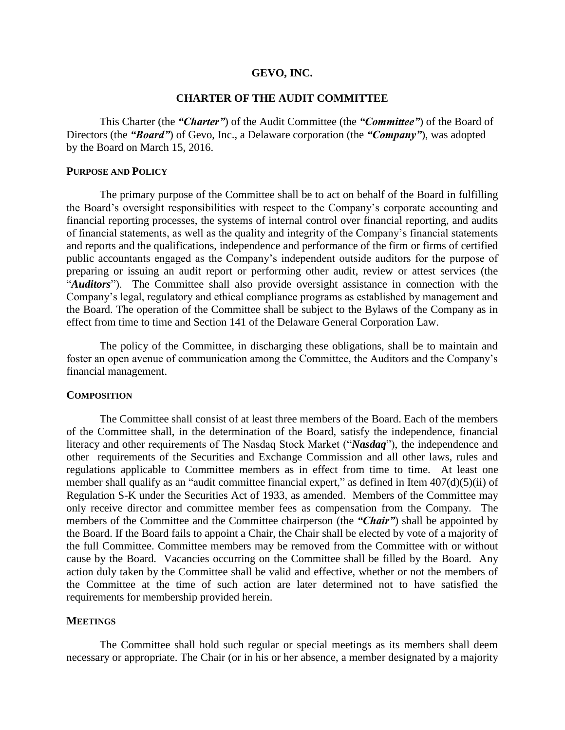#### **GEVO, INC.**

# **CHARTER OF THE AUDIT COMMITTEE**

This Charter (the *"Charter"*) of the Audit Committee (the *"Committee"*) of the Board of Directors (the *"Board"*) of Gevo, Inc., a Delaware corporation (the *"Company"*), was adopted by the Board on March 15, 2016.

### **PURPOSE AND POLICY**

The primary purpose of the Committee shall be to act on behalf of the Board in fulfilling the Board's oversight responsibilities with respect to the Company's corporate accounting and financial reporting processes, the systems of internal control over financial reporting, and audits of financial statements, as well as the quality and integrity of the Company's financial statements and reports and the qualifications, independence and performance of the firm or firms of certified public accountants engaged as the Company's independent outside auditors for the purpose of preparing or issuing an audit report or performing other audit, review or attest services (the "*Auditors*"). The Committee shall also provide oversight assistance in connection with the Company's legal, regulatory and ethical compliance programs as established by management and the Board. The operation of the Committee shall be subject to the Bylaws of the Company as in effect from time to time and Section 141 of the Delaware General Corporation Law.

The policy of the Committee, in discharging these obligations, shall be to maintain and foster an open avenue of communication among the Committee, the Auditors and the Company's financial management.

### **COMPOSITION**

The Committee shall consist of at least three members of the Board. Each of the members of the Committee shall, in the determination of the Board, satisfy the independence, financial literacy and other requirements of The Nasdaq Stock Market ("*Nasdaq*"), the independence and other requirements of the Securities and Exchange Commission and all other laws, rules and regulations applicable to Committee members as in effect from time to time. At least one member shall qualify as an "audit committee financial expert," as defined in Item  $407(d)(5)(ii)$  of Regulation S-K under the Securities Act of 1933, as amended. Members of the Committee may only receive director and committee member fees as compensation from the Company. The members of the Committee and the Committee chairperson (the *"Chair"*) shall be appointed by the Board. If the Board fails to appoint a Chair, the Chair shall be elected by vote of a majority of the full Committee. Committee members may be removed from the Committee with or without cause by the Board. Vacancies occurring on the Committee shall be filled by the Board. Any action duly taken by the Committee shall be valid and effective, whether or not the members of the Committee at the time of such action are later determined not to have satisfied the requirements for membership provided herein.

## **MEETINGS**

The Committee shall hold such regular or special meetings as its members shall deem necessary or appropriate. The Chair (or in his or her absence, a member designated by a majority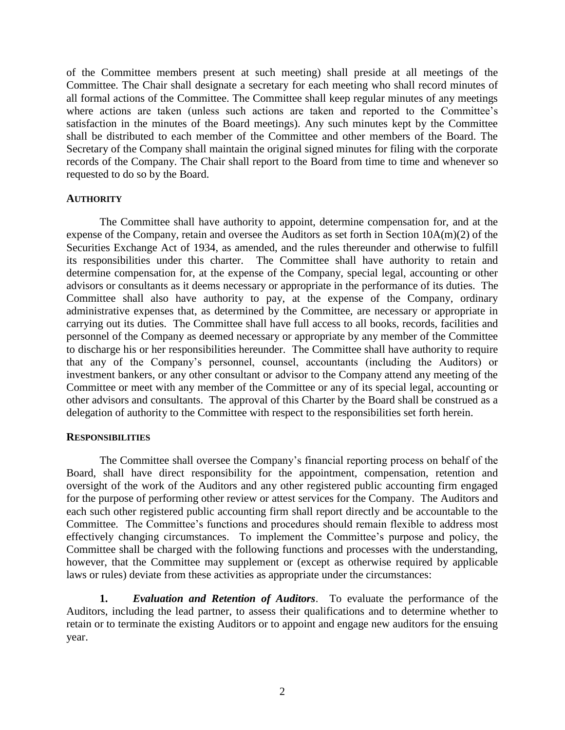of the Committee members present at such meeting) shall preside at all meetings of the Committee. The Chair shall designate a secretary for each meeting who shall record minutes of all formal actions of the Committee. The Committee shall keep regular minutes of any meetings where actions are taken (unless such actions are taken and reported to the Committee's satisfaction in the minutes of the Board meetings). Any such minutes kept by the Committee shall be distributed to each member of the Committee and other members of the Board. The Secretary of the Company shall maintain the original signed minutes for filing with the corporate records of the Company. The Chair shall report to the Board from time to time and whenever so requested to do so by the Board.

## **AUTHORITY**

The Committee shall have authority to appoint, determine compensation for, and at the expense of the Company, retain and oversee the Auditors as set forth in Section 10A(m)(2) of the Securities Exchange Act of 1934, as amended, and the rules thereunder and otherwise to fulfill its responsibilities under this charter. The Committee shall have authority to retain and determine compensation for, at the expense of the Company, special legal, accounting or other advisors or consultants as it deems necessary or appropriate in the performance of its duties. The Committee shall also have authority to pay, at the expense of the Company, ordinary administrative expenses that, as determined by the Committee, are necessary or appropriate in carrying out its duties. The Committee shall have full access to all books, records, facilities and personnel of the Company as deemed necessary or appropriate by any member of the Committee to discharge his or her responsibilities hereunder. The Committee shall have authority to require that any of the Company's personnel, counsel, accountants (including the Auditors) or investment bankers, or any other consultant or advisor to the Company attend any meeting of the Committee or meet with any member of the Committee or any of its special legal, accounting or other advisors and consultants. The approval of this Charter by the Board shall be construed as a delegation of authority to the Committee with respect to the responsibilities set forth herein.

# **RESPONSIBILITIES**

The Committee shall oversee the Company's financial reporting process on behalf of the Board, shall have direct responsibility for the appointment, compensation, retention and oversight of the work of the Auditors and any other registered public accounting firm engaged for the purpose of performing other review or attest services for the Company. The Auditors and each such other registered public accounting firm shall report directly and be accountable to the Committee. The Committee's functions and procedures should remain flexible to address most effectively changing circumstances. To implement the Committee's purpose and policy, the Committee shall be charged with the following functions and processes with the understanding, however, that the Committee may supplement or (except as otherwise required by applicable laws or rules) deviate from these activities as appropriate under the circumstances:

**1.** *Evaluation and Retention of Auditors*. To evaluate the performance of the Auditors, including the lead partner, to assess their qualifications and to determine whether to retain or to terminate the existing Auditors or to appoint and engage new auditors for the ensuing year.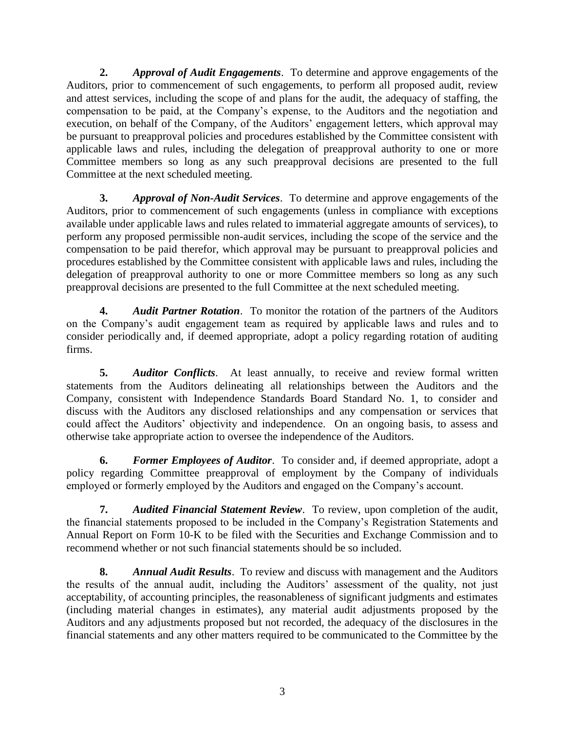**2.** *Approval of Audit Engagements*. To determine and approve engagements of the Auditors, prior to commencement of such engagements, to perform all proposed audit, review and attest services, including the scope of and plans for the audit, the adequacy of staffing, the compensation to be paid, at the Company's expense, to the Auditors and the negotiation and execution, on behalf of the Company, of the Auditors' engagement letters, which approval may be pursuant to preapproval policies and procedures established by the Committee consistent with applicable laws and rules, including the delegation of preapproval authority to one or more Committee members so long as any such preapproval decisions are presented to the full Committee at the next scheduled meeting.

**3.** *Approval of Non-Audit Services*. To determine and approve engagements of the Auditors, prior to commencement of such engagements (unless in compliance with exceptions available under applicable laws and rules related to immaterial aggregate amounts of services), to perform any proposed permissible non-audit services, including the scope of the service and the compensation to be paid therefor, which approval may be pursuant to preapproval policies and procedures established by the Committee consistent with applicable laws and rules, including the delegation of preapproval authority to one or more Committee members so long as any such preapproval decisions are presented to the full Committee at the next scheduled meeting.

**4.** *Audit Partner Rotation*. To monitor the rotation of the partners of the Auditors on the Company's audit engagement team as required by applicable laws and rules and to consider periodically and, if deemed appropriate, adopt a policy regarding rotation of auditing firms.

**5.** *Auditor Conflicts*. At least annually, to receive and review formal written statements from the Auditors delineating all relationships between the Auditors and the Company, consistent with Independence Standards Board Standard No. 1, to consider and discuss with the Auditors any disclosed relationships and any compensation or services that could affect the Auditors' objectivity and independence. On an ongoing basis, to assess and otherwise take appropriate action to oversee the independence of the Auditors.

**6.** *Former Employees of Auditor*. To consider and, if deemed appropriate, adopt a policy regarding Committee preapproval of employment by the Company of individuals employed or formerly employed by the Auditors and engaged on the Company's account.

**7.** *Audited Financial Statement Review*. To review, upon completion of the audit, the financial statements proposed to be included in the Company's Registration Statements and Annual Report on Form 10-K to be filed with the Securities and Exchange Commission and to recommend whether or not such financial statements should be so included.

**8.** *Annual Audit Results*. To review and discuss with management and the Auditors the results of the annual audit, including the Auditors' assessment of the quality, not just acceptability, of accounting principles, the reasonableness of significant judgments and estimates (including material changes in estimates), any material audit adjustments proposed by the Auditors and any adjustments proposed but not recorded, the adequacy of the disclosures in the financial statements and any other matters required to be communicated to the Committee by the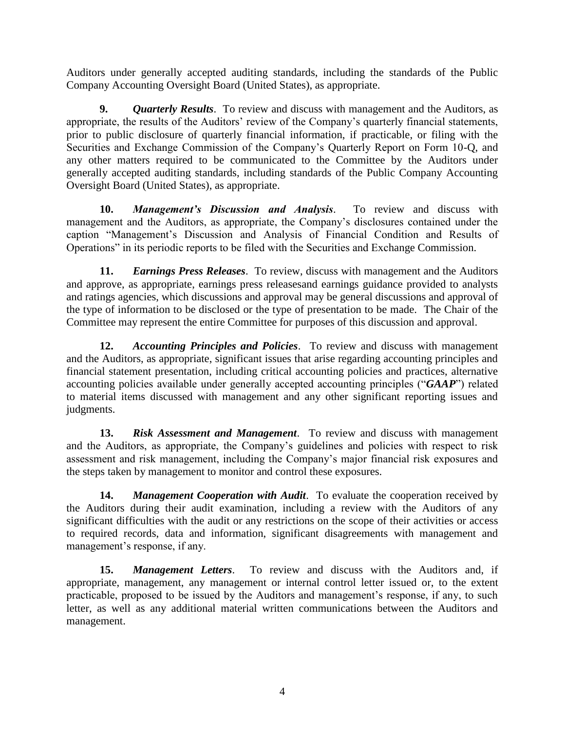Auditors under generally accepted auditing standards, including the standards of the Public Company Accounting Oversight Board (United States), as appropriate.

**9.** *Quarterly Results*. To review and discuss with management and the Auditors, as appropriate, the results of the Auditors' review of the Company's quarterly financial statements, prior to public disclosure of quarterly financial information, if practicable, or filing with the Securities and Exchange Commission of the Company's Quarterly Report on Form 10-Q, and any other matters required to be communicated to the Committee by the Auditors under generally accepted auditing standards, including standards of the Public Company Accounting Oversight Board (United States), as appropriate.

**10.** *Management's Discussion and Analysis*. To review and discuss with management and the Auditors, as appropriate, the Company's disclosures contained under the caption "Management's Discussion and Analysis of Financial Condition and Results of Operations" in its periodic reports to be filed with the Securities and Exchange Commission.

**11.** *Earnings Press Releases*. To review, discuss with management and the Auditors and approve, as appropriate, earnings press releasesand earnings guidance provided to analysts and ratings agencies, which discussions and approval may be general discussions and approval of the type of information to be disclosed or the type of presentation to be made. The Chair of the Committee may represent the entire Committee for purposes of this discussion and approval.

**12.** *Accounting Principles and Policies*. To review and discuss with management and the Auditors, as appropriate, significant issues that arise regarding accounting principles and financial statement presentation, including critical accounting policies and practices, alternative accounting policies available under generally accepted accounting principles ("*GAAP*") related to material items discussed with management and any other significant reporting issues and judgments.

**13.** *Risk Assessment and Management*. To review and discuss with management and the Auditors, as appropriate, the Company's guidelines and policies with respect to risk assessment and risk management, including the Company's major financial risk exposures and the steps taken by management to monitor and control these exposures.

**14.** *Management Cooperation with Audit*. To evaluate the cooperation received by the Auditors during their audit examination, including a review with the Auditors of any significant difficulties with the audit or any restrictions on the scope of their activities or access to required records, data and information, significant disagreements with management and management's response, if any.

**15.** *Management Letters*. To review and discuss with the Auditors and, if appropriate, management, any management or internal control letter issued or, to the extent practicable, proposed to be issued by the Auditors and management's response, if any, to such letter, as well as any additional material written communications between the Auditors and management.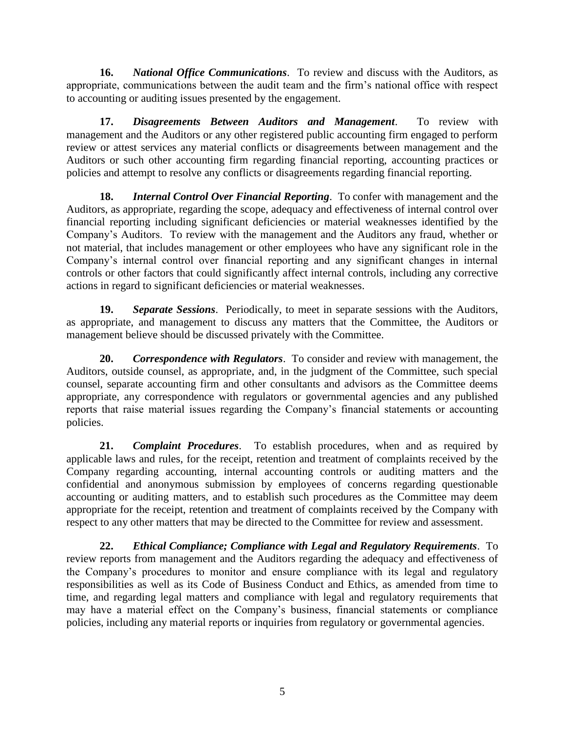**16.** *National Office Communications*. To review and discuss with the Auditors, as appropriate, communications between the audit team and the firm's national office with respect to accounting or auditing issues presented by the engagement.

**17.** *Disagreements Between Auditors and Management*. To review with management and the Auditors or any other registered public accounting firm engaged to perform review or attest services any material conflicts or disagreements between management and the Auditors or such other accounting firm regarding financial reporting, accounting practices or policies and attempt to resolve any conflicts or disagreements regarding financial reporting.

**18.** *Internal Control Over Financial Reporting*. To confer with management and the Auditors, as appropriate, regarding the scope, adequacy and effectiveness of internal control over financial reporting including significant deficiencies or material weaknesses identified by the Company's Auditors. To review with the management and the Auditors any fraud, whether or not material, that includes management or other employees who have any significant role in the Company's internal control over financial reporting and any significant changes in internal controls or other factors that could significantly affect internal controls, including any corrective actions in regard to significant deficiencies or material weaknesses.

**19.** *Separate Sessions*. Periodically, to meet in separate sessions with the Auditors, as appropriate, and management to discuss any matters that the Committee, the Auditors or management believe should be discussed privately with the Committee.

**20.** *Correspondence with Regulators*. To consider and review with management, the Auditors, outside counsel, as appropriate, and, in the judgment of the Committee, such special counsel, separate accounting firm and other consultants and advisors as the Committee deems appropriate, any correspondence with regulators or governmental agencies and any published reports that raise material issues regarding the Company's financial statements or accounting policies.

**21.** *Complaint Procedures*. To establish procedures, when and as required by applicable laws and rules, for the receipt, retention and treatment of complaints received by the Company regarding accounting, internal accounting controls or auditing matters and the confidential and anonymous submission by employees of concerns regarding questionable accounting or auditing matters, and to establish such procedures as the Committee may deem appropriate for the receipt, retention and treatment of complaints received by the Company with respect to any other matters that may be directed to the Committee for review and assessment.

**22.** *Ethical Compliance; Compliance with Legal and Regulatory Requirements*. To review reports from management and the Auditors regarding the adequacy and effectiveness of the Company's procedures to monitor and ensure compliance with its legal and regulatory responsibilities as well as its Code of Business Conduct and Ethics, as amended from time to time, and regarding legal matters and compliance with legal and regulatory requirements that may have a material effect on the Company's business, financial statements or compliance policies, including any material reports or inquiries from regulatory or governmental agencies.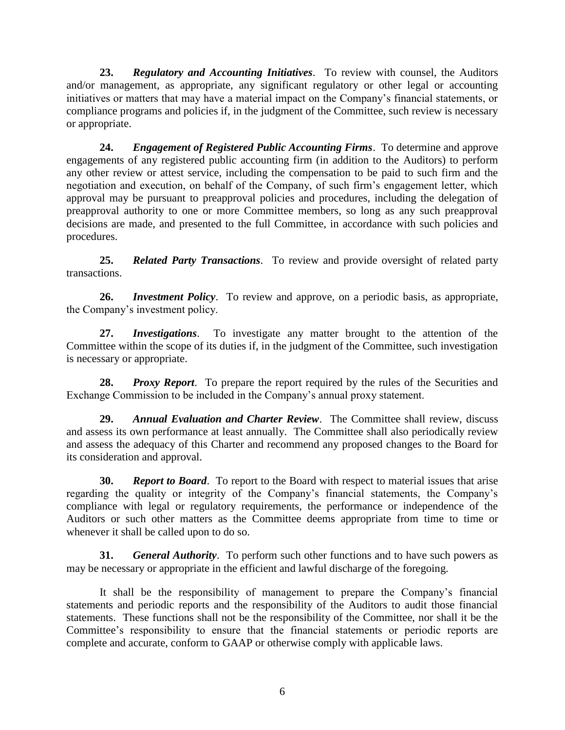**23.** *Regulatory and Accounting Initiatives*. To review with counsel, the Auditors and/or management, as appropriate, any significant regulatory or other legal or accounting initiatives or matters that may have a material impact on the Company's financial statements, or compliance programs and policies if, in the judgment of the Committee, such review is necessary or appropriate.

**24.** *Engagement of Registered Public Accounting Firms*. To determine and approve engagements of any registered public accounting firm (in addition to the Auditors) to perform any other review or attest service, including the compensation to be paid to such firm and the negotiation and execution, on behalf of the Company, of such firm's engagement letter, which approval may be pursuant to preapproval policies and procedures, including the delegation of preapproval authority to one or more Committee members, so long as any such preapproval decisions are made, and presented to the full Committee, in accordance with such policies and procedures.

**25.** *Related Party Transactions*. To review and provide oversight of related party transactions.

**26.** *Investment Policy*. To review and approve, on a periodic basis, as appropriate, the Company's investment policy.

**27.** *Investigations*. To investigate any matter brought to the attention of the Committee within the scope of its duties if, in the judgment of the Committee, such investigation is necessary or appropriate.

**28.** *Proxy Report*. To prepare the report required by the rules of the Securities and Exchange Commission to be included in the Company's annual proxy statement.

**29.** *Annual Evaluation and Charter Review*.The Committee shall review, discuss and assess its own performance at least annually. The Committee shall also periodically review and assess the adequacy of this Charter and recommend any proposed changes to the Board for its consideration and approval.

**30.** *Report to Board*. To report to the Board with respect to material issues that arise regarding the quality or integrity of the Company's financial statements, the Company's compliance with legal or regulatory requirements, the performance or independence of the Auditors or such other matters as the Committee deems appropriate from time to time or whenever it shall be called upon to do so.

**31.** *General Authority*. To perform such other functions and to have such powers as may be necessary or appropriate in the efficient and lawful discharge of the foregoing.

It shall be the responsibility of management to prepare the Company's financial statements and periodic reports and the responsibility of the Auditors to audit those financial statements. These functions shall not be the responsibility of the Committee, nor shall it be the Committee's responsibility to ensure that the financial statements or periodic reports are complete and accurate, conform to GAAP or otherwise comply with applicable laws.